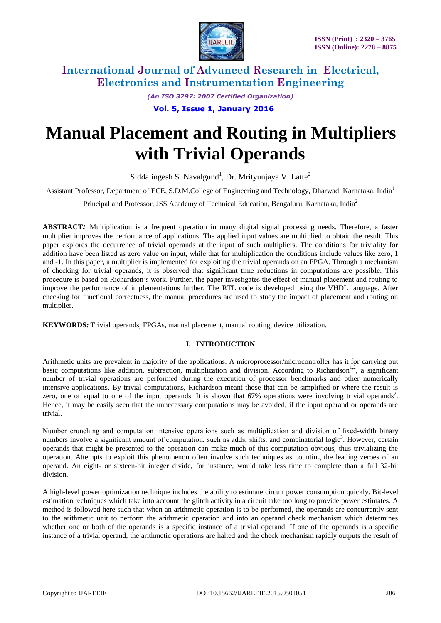

*(An ISO 3297: 2007 Certified Organization)* **Vol. 5, Issue 1, January 2016**

# **Manual Placement and Routing in Multipliers with Trivial Operands**

Siddalingesh S. Navalgund<sup>1</sup>, Dr. Mrityunjaya V. Latte<sup>2</sup>

Assistant Professor, Department of ECE, S.D.M.College of Engineering and Technology, Dharwad, Karnataka, India<sup>1</sup>

Principal and Professor, JSS Academy of Technical Education, Bengaluru, Karnataka, India<sup>2</sup>

**ABSTRACT***:* Multiplication is a frequent operation in many digital signal processing needs. Therefore, a faster multiplier improves the performance of applications. The applied input values are multiplied to obtain the result. This paper explores the occurrence of trivial operands at the input of such multipliers. The conditions for triviality for addition have been listed as zero value on input, while that for multiplication the conditions include values like zero, 1 and -1. In this paper, a multiplier is implemented for exploiting the trivial operands on an FPGA. Through a mechanism of checking for trivial operands, it is observed that significant time reductions in computations are possible. This procedure is based on Richardson's work. Further, the paper investigates the effect of manual placement and routing to improve the performance of implementations further. The RTL code is developed using the VHDL language. After checking for functional correctness, the manual procedures are used to study the impact of placement and routing on multiplier.

**KEYWORDS***:* Trivial operands, FPGAs, manual placement, manual routing, device utilization.

### **I. INTRODUCTION**

Arithmetic units are prevalent in majority of the applications. A microprocessor/microcontroller has it for carrying out basic computations like addition, subtraction, multiplication and division. According to Richardson<sup>1,2</sup>, a significant number of trivial operations are performed during the execution of processor benchmarks and other numerically intensive applications. By trivial computations, Richardson meant those that can be simplified or where the result is zero, one or equal to one of the input operands. It is shown that  $67\%$  operations were involving trivial operands<sup>2</sup>. Hence, it may be easily seen that the unnecessary computations may be avoided, if the input operand or operands are trivial.

Number crunching and computation intensive operations such as multiplication and division of fixed-width binary numbers involve a significant amount of computation, such as adds, shifts, and combinatorial logic<sup>3</sup>. However, certain operands that might be presented to the operation can make much of this computation obvious, thus trivializing the operation. Attempts to exploit this phenomenon often involve such techniques as counting the leading zeroes of an operand. An eight- or sixteen-bit integer divide, for instance, would take less time to complete than a full 32-bit division.

A high-level power optimization technique includes the ability to estimate circuit power consumption quickly. Bit-level estimation techniques which take into account the glitch activity in a circuit take too long to provide power estimates. A method is followed here such that when an arithmetic operation is to be performed, the operands are concurrently sent to the arithmetic unit to perform the arithmetic operation and into an operand check mechanism which determines whether one or both of the operands is a specific instance of a trivial operand. If one of the operands is a specific instance of a trivial operand, the arithmetic operations are halted and the check mechanism rapidly outputs the result of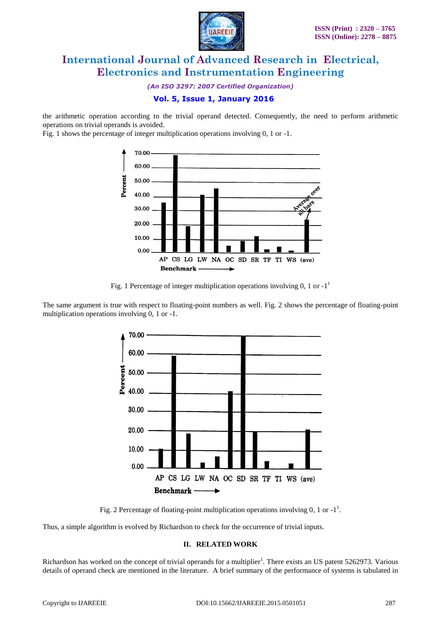

*(An ISO 3297: 2007 Certified Organization)*

### **Vol. 5, Issue 1, January 2016**

the arithmetic operation according to the trivial operand detected. Consequently, the need to perform arithmetic operations on trivial operands is avoided.

Fig. 1 shows the percentage of integer multiplication operations involving 0, 1 or -1.



Fig. 1 Percentage of integer multiplication operations involving 0, 1 or  $-1<sup>1</sup>$ 

The same argument is true with respect to floating-point numbers as well. Fig. 2 shows the percentage of floating-point multiplication operations involving 0, 1 or -1.





Thus, a simple algorithm is evolved by Richardson to check for the occurrence of trivial inputs.

#### **II. RELATED WORK**

Richardson has worked on the concept of trivial operands for a multiplier<sup>1</sup>. There exists an US patent 5262973. Various details of operand check are mentioned in the literature. A brief summary of the performance of systems is tabulated in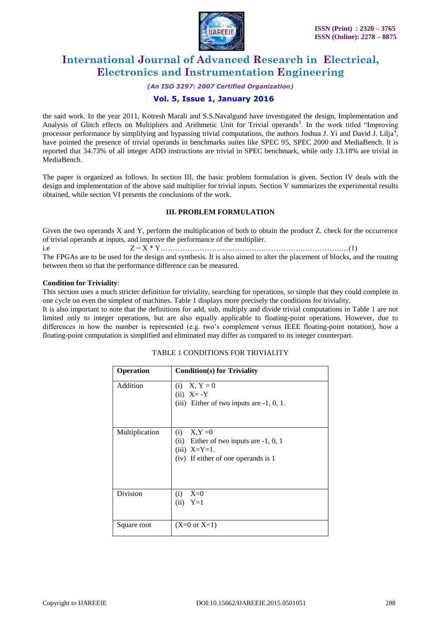

#### *(An ISO 3297: 2007 Certified Organization)*

### **Vol. 5, Issue 1, January 2016**

the said work. In the year 2011, Kotresh Marali and S.S.Navalgund have investigated the design, Implementation and Analysis of Glitch effects on Multipliers and Arithmetic Unit for Trivial operands<sup>3</sup>. In the work titled "Improving processor performance by simplifying and bypassing trivial computations, the authors Joshua J. Yi and David J. Lilja<sup>4</sup>, have pointed the presence of trivial operands in benchmarks suites like SPEC 95, SPEC 2000 and MediaBench. It is reported that 34.73% of all integer ADD instructions are trivial in SPEC benchmark, while only 13.18% are trivial in MediaBench.

The paper is organized as follows. In section III, the basic problem formulation is given. Section IV deals with the design and implementation of the above said multiplier for trivial inputs. Section V summarizes the experimental results obtained, while section VI presents the conclusions of the work.

#### **III. PROBLEM FORMULATION**

Given the two operands X and Y, perform the multiplication of both to obtain the product Z. check for the occurrence of trivial operands at inputs, and improve the performance of the multiplier. i.e Z = X \* Y………………………...…….………………….…………….…(1) The FPGAs are to be used for the design and synthesis. It is also aimed to alter the placement of blocks, and the routing between them so that the performance difference can be measured.

#### **Condition for Triviality**:

This section uses a much stricter definition for triviality, searching for operations, so simple that they could complete in one cycle on even the simplest of machines. Table 1 displays more precisely the conditions for triviality.

It is also important to note that the definitions for add, sub, multiply and divide trivial computations in Table 1 are not limited only to integer operations, but are also equally applicable to floating-point operations. However, due to differences in how the number is represented (e.g. two's complement versus IEEE floating-point notation), how a floating-point computation is simplified and eliminated may differ as compared to its integer counterpart.

| Operation      | <b>Condition(s)</b> for Triviality                                                                                     |
|----------------|------------------------------------------------------------------------------------------------------------------------|
| Addition       | $X, Y = 0$<br>(i)<br>$(ii)$ X= -Y<br>(iii) Either of two inputs are $-1$ , 0, 1.                                       |
| Multiplication | $X,Y=0$<br>(i)<br>Either of two inputs are $-1, 0, 1$<br>(ii)<br>$(iii)$ X=Y=1.<br>(iv) If either of one operands is 1 |
| Division       | $X=0$<br>(i)<br>$Y=1$<br>(ii)                                                                                          |
| Square root    | $(X=0 \text{ or } X=1)$                                                                                                |

#### TABLE 1 CONDITIONS FOR TRIVIALITY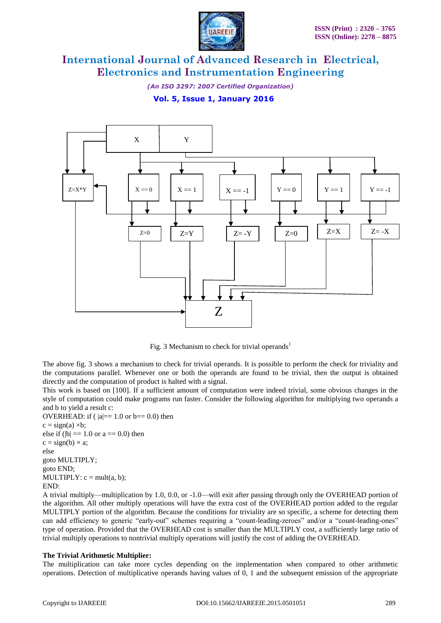

*(An ISO 3297: 2007 Certified Organization)*

**Vol. 5, Issue 1, January 2016**



Fig. 3 Mechanism to check for trivial operands<sup>1</sup>

The above fig. 3 shows a mechanism to check for trivial operands. It is possible to perform the check for triviality and the computations parallel. Whenever one or both the operands are found to be trivial, then the output is obtained directly and the computation of product is halted with a signal.

This work is based on [100]. If a sufficient amount of computation were indeed trivial, some obvious changes in the style of computation could make programs run faster. Consider the following algorithm for multiplying two operands a and b to yield a result c:

OVERHEAD: if ( $|a|=1.0$  or  $b== 0.0$ ) then  $c = sign(a) \times b;$ else if ( $|b| == 1.0$  or  $a == 0.0$ ) then  $c = sign(b) \times a$ ; else goto MULTIPLY; goto END; MULTIPLY:  $c = mult(a, b)$ ; END:

A trivial multiply—multiplication by 1.0, 0.0, or -1.0—will exit after passing through only the OVERHEAD portion of the algorithm. All other multiply operations will have the extra cost of the OVERHEAD portion added to the regular MULTIPLY portion of the algorithm. Because the conditions for triviality are so specific, a scheme for detecting them can add efficiency to generic "early-out" schemes requiring a "count-leading-zeroes" and/or a "count-leading-ones" type of operation. Provided that the OVERHEAD cost is smaller than the MULTIPLY cost, a sufficiently large ratio of trivial multiply operations to nontrivial multiply operations will justify the cost of adding the OVERHEAD.

### **The Trivial Arithmetic Multiplier:**

The multiplication can take more cycles depending on the implementation when compared to other arithmetic operations. Detection of multiplicative operands having values of 0, 1 and the subsequent emission of the appropriate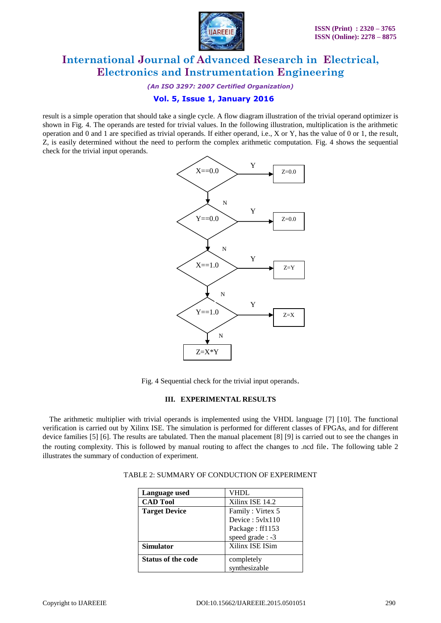

*(An ISO 3297: 2007 Certified Organization)*

### **Vol. 5, Issue 1, January 2016**

result is a simple operation that should take a single cycle. A flow diagram illustration of the trivial operand optimizer is shown in Fig. 4. The operands are tested for trivial values. In the following illustration, multiplication is the arithmetic operation and 0 and 1 are specified as trivial operands. If either operand, i.e., X or Y, has the value of 0 or 1, the result, Z, is easily determined without the need to perform the complex arithmetic computation. Fig. 4 shows the sequential check for the trivial input operands.



Fig. 4 Sequential check for the trivial input operands.

#### **III. EXPERIMENTAL RESULTS**

 The arithmetic multiplier with trivial operands is implemented using the VHDL language [7] [10]. The functional verification is carried out by Xilinx ISE. The simulation is performed for different classes of FPGAs, and for different device families [5] [6]. The results are tabulated. Then the manual placement [8] [9] is carried out to see the changes in the routing complexity. This is followed by manual routing to affect the changes to .ncd file. The following table 2 illustrates the summary of conduction of experiment.

| Language used             | VHDL              |
|---------------------------|-------------------|
| <b>CAD Tool</b>           | Xilinx ISE 14.2   |
| <b>Target Device</b>      | Family: Virtex 5  |
|                           | Device: $5v1x110$ |
|                           | Package: ff1153   |
|                           | speed grade : -3  |
| <b>Simulator</b>          | Xilinx ISE ISim   |
| <b>Status of the code</b> | completely        |
|                           | synthesizable     |

|--|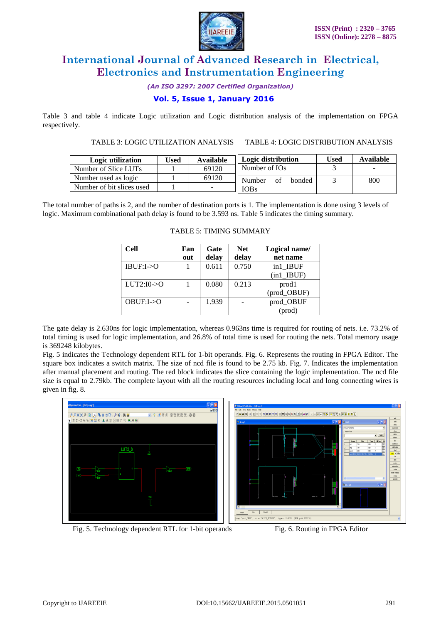

*(An ISO 3297: 2007 Certified Organization)*

### **Vol. 5, Issue 1, January 2016**

Table 3 and table 4 indicate Logic utilization and Logic distribution analysis of the implementation on FPGA respectively.

TABLE 3: LOGIC UTILIZATION ANALYSIS TABLE 4: LOGIC DISTRIBUTION ANALYSIS

| Logic utilization         | 'Jsed | Available | Logic distribution     | Used | Available |
|---------------------------|-------|-----------|------------------------|------|-----------|
| Number of Slice LUTs      |       | 69120     | Number of IOs          |      |           |
| Number used as logic      |       | 69120     | Number<br>bonded<br>ΩŤ |      | 800       |
| Number of bit slices used |       |           | <b>IOBs</b>            |      |           |

The total number of paths is 2, and the number of destination ports is 1. The implementation is done using 3 levels of logic. Maximum combinational path delay is found to be 3.593 ns. Table 5 indicates the timing summary.

| <b>Cell</b>              | Fan | Gate  | <b>Net</b> | Logical name/ |
|--------------------------|-----|-------|------------|---------------|
|                          | out | delay | delay      | net name      |
| IBUF: I > 0              |     | 0.611 | 0.750      | in1 IBUF      |
|                          |     |       |            | $(in1$ IBUF)  |
| $LUT2:10->O$             |     | 0.080 | 0.213      | prod1         |
|                          |     |       |            | (prod_OBUF)   |
| $OBIIF: I \rightarrow O$ |     | 1.939 |            | prod_OBUF     |
|                          |     |       |            | $(prod)$      |

#### TABLE 5: TIMING SUMMARY

The gate delay is 2.630ns for logic implementation, whereas 0.963ns time is required for routing of nets. i.e. 73.2% of total timing is used for logic implementation, and 26.8% of total time is used for routing the nets. Total memory usage is 369248 kilobytes.

Fig. 5 indicates the Technology dependent RTL for 1-bit operands. Fig. 6. Represents the routing in FPGA Editor. The square box indicates a switch matrix. The size of ncd file is found to be 2.75 kb. Fig. 7. Indicates the implementation after manual placement and routing. The red block indicates the slice containing the logic implementation. The ncd file size is equal to 2.79kb. The complete layout with all the routing resources including local and long connecting wires is given in fig. 8.





Fig. 5. Technology dependent RTL for 1-bit operands Fig. 6. Routing in FPGA Editor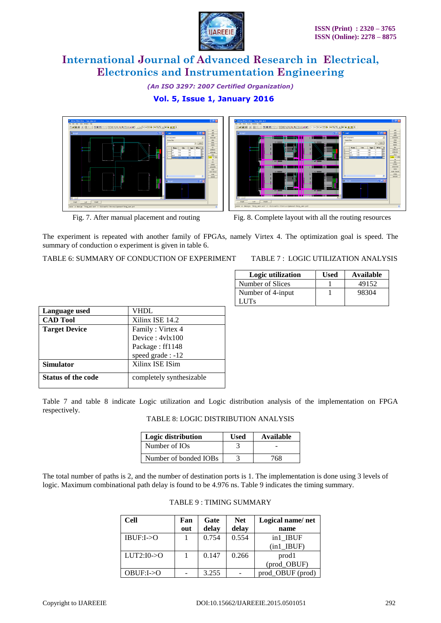

#### *(An ISO 3297: 2007 Certified Organization)*

### **Vol. 5, Issue 1, January 2016**





Fig. 7. After manual placement and routing Fig. 8. Complete layout with all the routing resources

The experiment is repeated with another family of FPGAs, namely Virtex 4. The optimization goal is speed. The summary of conduction o experiment is given in table 6.

TABLE 6: SUMMARY OF CONDUCTION OF EXPERIMENT TABLE 7 : LOGIC UTILIZATION ANALYSIS

| Logic utilization | Used | Available |
|-------------------|------|-----------|
| Number of Slices  |      | 49152     |
| Number of 4-input |      | 98304     |
| LUTs.             |      |           |

| Language used             | VHDL                     |  |  |
|---------------------------|--------------------------|--|--|
| <b>CAD Tool</b>           | Xilinx ISE 14.2          |  |  |
| <b>Target Device</b>      | Family: Virtex 4         |  |  |
|                           | Device: 4vlx100          |  |  |
|                           | Package: ff1148          |  |  |
|                           | speed grade: -12         |  |  |
| <b>Simulator</b>          | Xilinx ISE ISim          |  |  |
| <b>Status of the code</b> | completely synthesizable |  |  |

Table 7 and table 8 indicate Logic utilization and Logic distribution analysis of the implementation on FPGA respectively.

|  |  |  |  | TABLE 8: LOGIC DISTRIBUTION ANALYSIS |
|--|--|--|--|--------------------------------------|
|--|--|--|--|--------------------------------------|

| Logic distribution    | Used | Available |
|-----------------------|------|-----------|
| Number of IOs         |      |           |
| Number of bonded IOBs |      | 768-      |

The total number of paths is 2, and the number of destination ports is 1. The implementation is done using 3 levels of logic. Maximum combinational path delay is found to be 4.976 ns. Table 9 indicates the timing summary.

| <b>Cell</b>             | Fan<br>out | Gate<br>delay | <b>Net</b><br>delay | Logical name/net<br>name   |
|-------------------------|------------|---------------|---------------------|----------------------------|
| $IBUF: I \rightarrow O$ |            | 0.754         | 0.554               | in1 IBUF<br>$(in1$ $IBUF)$ |
| $LUT2:10\rightarrow O$  |            | 0.147         | 0.266               | prod1<br>(prod OBUF)       |
| OBUF:I > 0              |            | 3.255         |                     | prod OBUF (prod)           |

|  |  | <b>TABLE 9: TIMING SUMMARY</b> |
|--|--|--------------------------------|
|--|--|--------------------------------|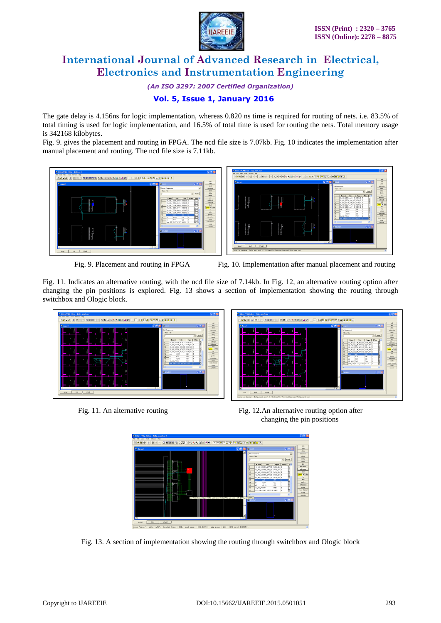

*(An ISO 3297: 2007 Certified Organization)*

## **Vol. 5, Issue 1, January 2016**

The gate delay is 4.156ns for logic implementation, whereas 0.820 ns time is required for routing of nets. i.e. 83.5% of total timing is used for logic implementation, and 16.5% of total time is used for routing the nets. Total memory usage is 342168 kilobytes.

Fig. 9. gives the placement and routing in FPGA. The ncd file size is 7.07kb. Fig. 10 indicates the implementation after manual placement and routing. The ncd file size is 7.11kb.



Fig. 9. Placement and routing in FPGA Fig. 10. Implementation after manual placement and routing

Fig. 11. Indicates an alternative routing, with the ncd file size of 7.14kb. In Fig. 12, an alternative routing option after changing the pin positions is explored. Fig. 13 shows a section of implementation showing the routing through switchbox and Ologic block.



▁<br>▁▏▁▏▏▏▏▏▏▏▏▏▏▏▏

Fig. 11. An alternative routing Fig. 12.An alternative routing option after changing the pin positions



Fig. 13. A section of implementation showing the routing through switchbox and Ologic block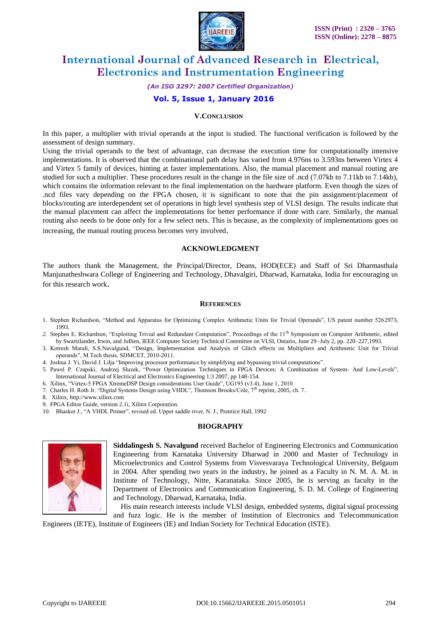

*(An ISO 3297: 2007 Certified Organization)*

### **Vol. 5, Issue 1, January 2016**

#### **V.CONCLUSION**

In this paper, a multiplier with trivial operands at the input is studied. The functional verification is followed by the assessment of design summary.

Using the trivial operands to the best of advantage, can decrease the execution time for computationally intensive implementations. It is observed that the combinational path delay has varied from 4.976ns to 3.593ns between Virtex 4 and Virtex 5 family of devices, hinting at faster implementations. Also, the manual placement and manual routing are studied for such a multiplier. These procedures result in the change in the file size of .ncd (7.07kb to 7.11kb to 7.14kb), which contains the information relevant to the final implementation on the hardware platform. Even though the sizes of .ncd files vary depending on the FPGA chosen, it is significant to note that the pin assignment/placement of blocks/routing are interdependent set of operations in high level synthesis step of VLSI design. The results indicate that the manual placement can affect the implementations for better performance if done with care. Similarly, the manual routing also needs to be done only for a few select nets. This is because, as the complexity of implementations goes on increasing, the manual routing process becomes very involved.

#### **ACKNOWLEDGMENT**

The authors thank the Management, the Principal/Director, Deans, HOD(ECE) and Staff of Sri Dharmasthala Manjunatheshwara College of Engineering and Technology, Dhavalgiri, Dharwad, Karnataka, India for encouraging us for this research work.

#### **REFERENCES**

- 1. Stephen Richardson, "Method and Apparatus for Optimizing Complex Arithmetic Units for Trivial Operands", US patent number 5262973, 1993.
- 2. Stephen E. Richardson, "Exploiting Trivial and Redundant Computation", Proceedings of the 11<sup>th</sup> Symposium on Computer Arithmetic, edited by Swartzlander, Irwin, and Jullien, IEEE Computer Society Technical Committee on VLSI, Ontario, June 29–July 2, pp. 220–227,1993.
- 3. Kotresh Marali, S.S.Navalgund, "Design, Implementation and Analysis of Glitch effects on Multipliers and Arithmetic Unit for Trivial operands", M.Tech thesis, SDMCET, 2010-2011.
- 4. Joshua J. Yi, David J. Lilja "Improving processor performance by simplifying and bypassing trivial computations".
- 5. Pawel P. Czapski, Andrzej Sluzek, "Power Optimization Techniques in FPGA Devices: A Combination of System- And Low-Levels", International Journal of Electrical and Electronics Engineering 1:3 2007, pp 148-154.
- 6. Xilinx, "Virtex-5 FPGA XtremeDSP Design considerations User Guide", UG193 (v3.4), June 1, 2010.
- 7. Charles H. Roth Jr. "Digital Systems Design using VHDL", Thomson Brooks/Cole, 7<sup>th</sup> reprint, 2005, ch. 7.
- 8. Xilinx, http://www.xilinx.com
- 9. FPGA Editor Guide, version 2.1i, Xilinx Corporation.
- 10. Bhasker J., "A VHDL Primer", revised ed. Upper saddle river, N. J., Prentice Hall, 1992

### **BIOGRAPHY**



**Siddalingesh S. Navalgund** received Bachelor of Engineering Electronics and Communication Engineering from Karnataka University Dharwad in 2000 and Master of Technology in Microelectronics and Control Systems from Visvesvaraya Technological University, Belgaum in 2004. After spending two years in the industry, he joined as a Faculty in N. M. A. M. in Institute of Technology, Nitte, Karanataka. Since 2005, he is serving as faculty in the Department of Electronics and Communication Engineering, S. D. M. College of Engineering and Technology, Dharwad, Karnataka, India.

 His main research interests include VLSI design, embedded systems, digital signal processing and fuzz logic. He is the member of Institution of Electronics and Telecommunication

Engineers (IETE), Institute of Engineers (IE) and Indian Society for Technical Education (ISTE).